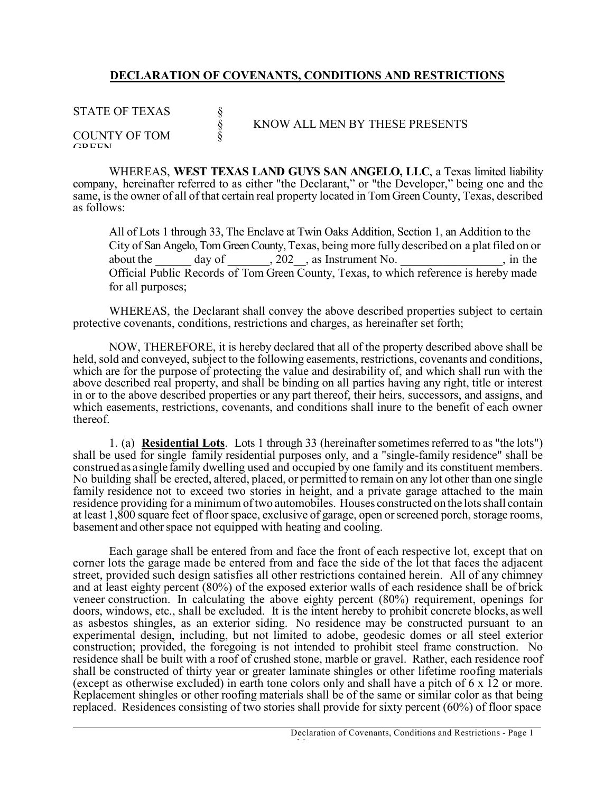## **DECLARATION OF COVENANTS, CONDITIONS AND RESTRICTIONS**

| <b>STATE OF TEXAS</b>   | KNOW ALL MEN BY THESE PRESENTS |
|-------------------------|--------------------------------|
| COUNTY OF TOM<br>CDEENI |                                |

WHEREAS, **WEST TEXAS LAND GUYS SAN ANGELO, LLC**, a Texas limited liability company, hereinafter referred to as either "the Declarant," or "the Developer," being one and the same, is the owner of all of that certain real property located in Tom Green County, Texas, described as follows:

All of Lots 1 through 33, The Enclave at Twin Oaks Addition, Section 1, an Addition to the City of San Angelo, Tom Green County, Texas, being more fully described on a plat filed on or about the  $\_\_\_\_$  day of  $\_\_\_\_$ , 202 $\_\_\_$ , as Instrument No.  $\_\_\_\_\_\_$ , in the Official Public Records of Tom Green County, Texas, to which reference is hereby made for all purposes;

WHEREAS, the Declarant shall convey the above described properties subject to certain protective covenants, conditions, restrictions and charges, as hereinafter set forth;

NOW, THEREFORE, it is hereby declared that all of the property described above shall be held, sold and conveyed, subject to the following easements, restrictions, covenants and conditions, which are for the purpose of protecting the value and desirability of, and which shall run with the above described real property, and shall be binding on all parties having any right, title or interest in or to the above described properties or any part thereof, their heirs, successors, and assigns, and which easements, restrictions, covenants, and conditions shall inure to the benefit of each owner thereof.

1. (a) **Residential Lots**. Lots 1 through 33 (hereinafter sometimes referred to as "the lots") shall be used for single family residential purposes only, and a "single-family residence" shall be construed as asingle family dwelling used and occupied by one family and its constituent members. No building shall be erected, altered, placed, or permitted to remain on any lot other than one single family residence not to exceed two stories in height, and a private garage attached to the main residence providing for a minimum oftwo automobiles. Houses constructed on the lotsshall contain at least 1,800 square feet of floor space, exclusive of garage, open or screened porch, storage rooms, basement and other space not equipped with heating and cooling.

Each garage shall be entered from and face the front of each respective lot, except that on corner lots the garage made be entered from and face the side of the lot that faces the adjacent street, provided such design satisfies all other restrictions contained herein. All of any chimney and at least eighty percent (80%) of the exposed exterior walls of each residence shall be of brick veneer construction. In calculating the above eighty percent (80%) requirement, openings for doors, windows, etc., shall be excluded. It is the intent hereby to prohibit concrete blocks, as well as asbestos shingles, as an exterior siding. No residence may be constructed pursuant to an experimental design, including, but not limited to adobe, geodesic domes or all steel exterior construction; provided, the foregoing is not intended to prohibit steel frame construction. No residence shall be built with a roof of crushed stone, marble or gravel. Rather, each residence roof shall be constructed of thirty year or greater laminate shingles or other lifetime roofing materials (except as otherwise excluded) in earth tone colors only and shall have a pitch of 6 x 12 or more. Replacement shingles or other roofing materials shall be of the same or similar color as that being replaced. Residences consisting of two stories shall provide for sixty percent (60%) of floor space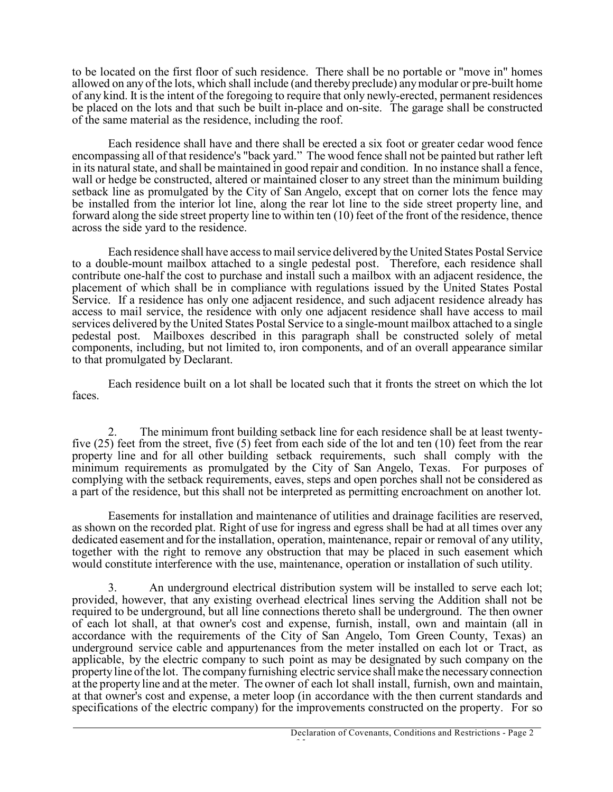to be located on the first floor of such residence. There shall be no portable or "move in" homes allowed on any of the lots, which shall include (and thereby preclude) anymodular or pre-built home of any kind. It isthe intent of the foregoing to require that only newly-erected, permanent residences be placed on the lots and that such be built in-place and on-site. The garage shall be constructed of the same material as the residence, including the roof.

Each residence shall have and there shall be erected a six foot or greater cedar wood fence encompassing all of that residence's "back yard." The wood fence shall not be painted but rather left in its natural state, and shall be maintained in good repair and condition. In no instance shall a fence, wall or hedge be constructed, altered or maintained closer to any street than the minimum building setback line as promulgated by the City of San Angelo, except that on corner lots the fence may be installed from the interior lot line, along the rear lot line to the side street property line, and forward along the side street property line to within ten (10) feet of the front of the residence, thence across the side yard to the residence.

Each residence shall have accessto mailservice delivered by the United States Postal Service to a double-mount mailbox attached to a single pedestal post. Therefore, each residence shall contribute one-half the cost to purchase and install such a mailbox with an adjacent residence, the placement of which shall be in compliance with regulations issued by the United States Postal Service. If a residence has only one adjacent residence, and such adjacent residence already has access to mail service, the residence with only one adjacent residence shall have access to mail services delivered by the United States Postal Service to a single-mount mailbox attached to a single pedestal post. Mailboxes described in this paragraph shall be constructed solely of metal components, including, but not limited to, iron components, and of an overall appearance similar to that promulgated by Declarant.

Each residence built on a lot shall be located such that it fronts the street on which the lot faces.

2. The minimum front building setback line for each residence shall be at least twenty-<br>five (25) feet from the street, five (5) feet from each side of the lot and ten (10) feet from the rear property line and for all other building setback requirements, such shall comply with the minimum requirements as promulgated by the City of San Angelo, Texas. For purposes of complying with the setback requirements, eaves, steps and open porches shall not be considered as a part of the residence, but this shall not be interpreted as permitting encroachment on another lot.

Easements for installation and maintenance of utilities and drainage facilities are reserved, as shown on the recorded plat. Right of use for ingress and egress shall be had at all times over any dedicated easement and forthe installation, operation, maintenance, repair or removal of any utility, together with the right to remove any obstruction that may be placed in such easement which would constitute interference with the use, maintenance, operation or installation of such utility.

An underground electrical distribution system will be installed to serve each lot; provided, however, that any existing overhead electrical lines serving the Addition shall not be required to be underground, but all line connections thereto shall be underground. The then owner of each lot shall, at that owner's cost and expense, furnish, install, own and maintain (all in accordance with the requirements of the City of San Angelo, Tom Green County, Texas) an underground service cable and appurtenances from the meter installed on each lot or Tract, as applicable, by the electric company to such point as may be designated by such company on the property line ofthe lot. The company furnishing electric service shall make the necessary connection at the property line and at the meter. The owner of each lot shall install, furnish, own and maintain, at that owner's cost and expense, a meter loop (in accordance with the then current standards and specifications of the electric company) for the improvements constructed on the property. For so

 $\hat{\mathcal{F}}$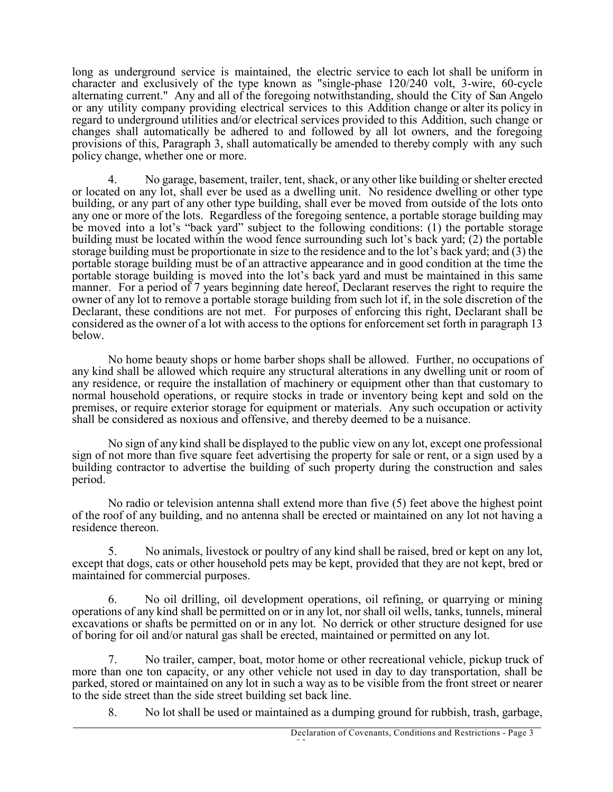long as underground service is maintained, the electric service to each lot shall be uniform in character and exclusively of the type known as "single-phase 120/240 volt, 3-wire, 60-cycle alternating current." Any and all of the foregoing notwithstanding, should the City of San Angelo or any utility company providing electrical services to this Addition change or alter its policy in regard to underground utilities and/or electrical services provided to this Addition, such change or changes shall automatically be adhered to and followed by all lot owners, and the foregoing provisions of this, Paragraph 3, shall automatically be amended to thereby comply with any such policy change, whether one or more.

4. No garage, basement, trailer, tent, shack, or any other like building or shelter erected or located on any lot, shall ever be used as a dwelling unit. No residence dwelling or other type building, or any part of any other type building, shall ever be moved from outside of the lots onto any one or more of the lots. Regardless of the foregoing sentence, a portable storage building may be moved into a lot's "back yard" subject to the following conditions: (1) the portable storage building must be located within the wood fence surrounding such lot's back yard; (2) the portable storage building must be proportionate in size to the residence and to the lot's back yard; and (3) the portable storage building must be of an attractive appearance and in good condition at the time the portable storage building is moved into the lot's back yard and must be maintained in this same manner. For a period of 7 years beginning date hereof, Declarant reserves the right to require the owner of any lot to remove a portable storage building from such lot if, in the sole discretion of the Declarant, these conditions are not met. For purposes of enforcing this right, Declarant shall be considered as the owner of a lot with access to the options for enforcement set forth in paragraph 13 below.

No home beauty shops or home barber shops shall be allowed. Further, no occupations of any kind shall be allowed which require any structural alterations in any dwelling unit or room of any residence, or require the installation of machinery or equipment other than that customary to normal household operations, or require stocks in trade or inventory being kept and sold on the premises, or require exterior storage for equipment or materials. Any such occupation or activity shall be considered as noxious and offensive, and thereby deemed to be a nuisance.

No sign of any kind shall be displayed to the public view on any lot, except one professional sign of not more than five square feet advertising the property for sale or rent, or a sign used by a building contractor to advertise the building of such property during the construction and sales period.

No radio or television antenna shall extend more than five (5) feet above the highest point of the roof of any building, and no antenna shall be erected or maintained on any lot not having a residence thereon.

5. No animals, livestock or poultry of any kind shall be raised, bred or kept on any lot, except that dogs, cats or other household pets may be kept, provided that they are not kept, bred or maintained for commercial purposes.

6. No oil drilling, oil development operations, oil refining, or quarrying or mining operations of any kind shall be permitted on or in any lot, nor shall oil wells, tanks, tunnels, mineral excavations or shafts be permitted on or in any lot. No derrick or other structure designed for use of boring for oil and/or natural gas shall be erected, maintained or permitted on any lot.

7. No trailer, camper, boat, motor home or other recreational vehicle, pickup truck of more than one ton capacity, or any other vehicle not used in day to day transportation, shall be parked, stored or maintained on any lot in such a way as to be visible from the front street or nearer to the side street than the side street building set back line.

8. No lot shall be used or maintained as a dumping ground for rubbish, trash, garbage,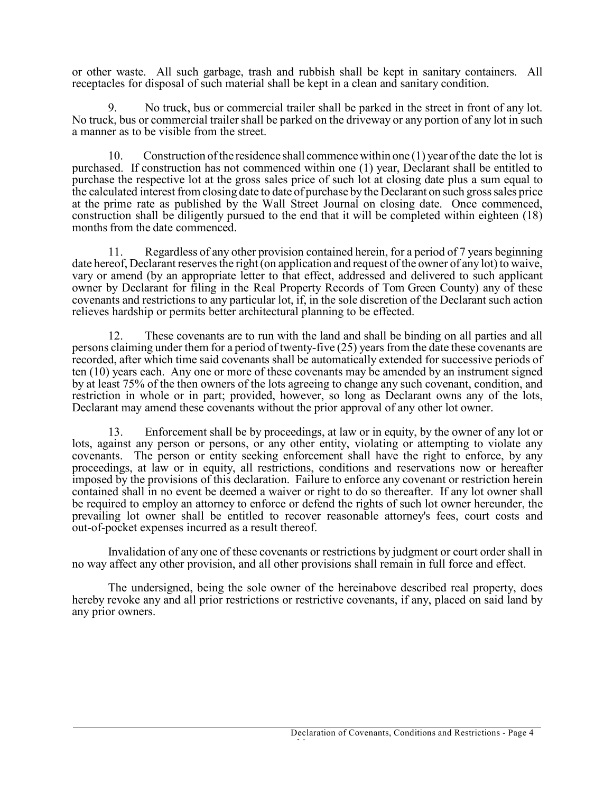or other waste. All such garbage, trash and rubbish shall be kept in sanitary containers. All receptacles for disposal of such material shall be kept in a clean and sanitary condition.

9. No truck, bus or commercial trailer shall be parked in the street in front of any lot. No truck, bus or commercial trailershall be parked on the driveway or any portion of any lot in such a manner as to be visible from the street.

10. Construction ofthe residence shall commence within one (1) year ofthe date the lot is purchased. If construction has not commenced within one (1) year, Declarant shall be entitled to purchase the respective lot at the gross sales price of such lot at closing date plus a sum equal to the calculated interest from closing date to date of purchase by the Declarant on such gross sales price at the prime rate as published by the Wall Street Journal on closing date. Once commenced, construction shall be diligently pursued to the end that it will be completed within eighteen (18) months from the date commenced.

11. Regardless of any other provision contained herein, for a period of 7 years beginning date hereof, Declarant reserves the right (on application and request of the owner of any lot) to waive, vary or amend (by an appropriate letter to that effect, addressed and delivered to such applicant owner by Declarant for filing in the Real Property Records of Tom Green County) any of these covenants and restrictions to any particular lot, if, in the sole discretion of the Declarant such action relieves hardship or permits better architectural planning to be effected.

12. These covenants are to run with the land and shall be binding on all parties and all persons claiming under them for a period of twenty-five  $(25)$  years from the date these covenants are recorded, after which time said covenants shall be automatically extended for successive periods of ten (10) years each. Any one or more of these covenants may be amended by an instrument signed by at least 75% of the then owners of the lots agreeing to change any such covenant, condition, and restriction in whole or in part; provided, however, so long as Declarant owns any of the lots, Declarant may amend these covenants without the prior approval of any other lot owner.

13. Enforcement shall be by proceedings, at law or in equity, by the owner of any lot or lots, against any person or persons, or any other entity, violating or attempting to violate any covenants. The person or entity seeking enforcement shall have the right to enforce, by any proceedings, at law or in equity, all restrictions, conditions and reservations now or hereafter imposed by the provisions of this declaration. Failure to enforce any covenant or restriction herein contained shall in no event be deemed a waiver or right to do so thereafter. If any lot owner shall be required to employ an attorney to enforce or defend the rights of such lot owner hereunder, the prevailing lot owner shall be entitled to recover reasonable attorney's fees, court costs and out-of-pocket expenses incurred as a result thereof.

Invalidation of any one of these covenants or restrictions by judgment or court order shall in no way affect any other provision, and all other provisions shall remain in full force and effect.

The undersigned, being the sole owner of the hereinabove described real property, does hereby revoke any and all prior restrictions or restrictive covenants, if any, placed on said land by any prior owners.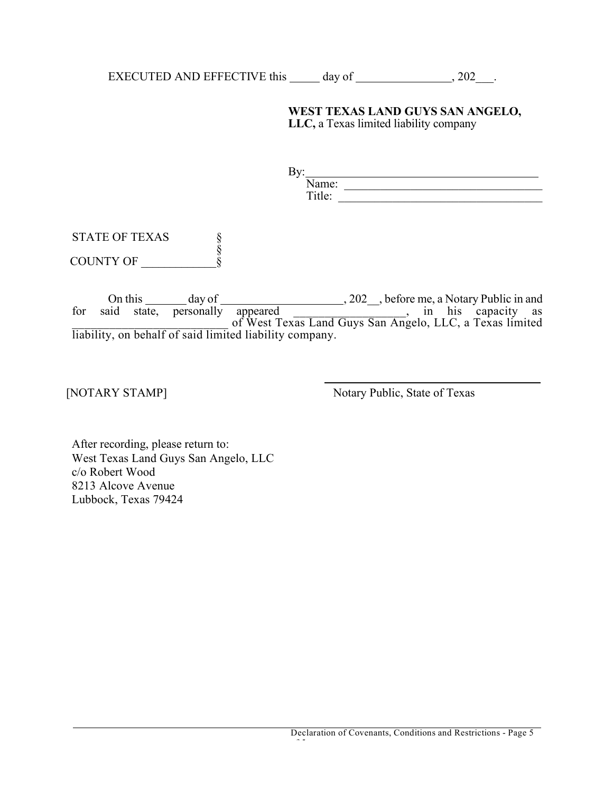EXECUTED AND EFFECTIVE this  $\_\_\_\_$  day of  $\_\_\_\_\_\_$ , 202 $\_\_\_\_\_\_$ 

## **WEST TEXAS LAND GUYS SAN ANGELO, LLC,** a Texas limited liability company

| Name:             |  |
|-------------------|--|
| $m$ .<br>ە د<br>. |  |

STATE OF TEXAS §<br>§<br>§ COUNTY OF

On this day of , 202\_\_, before me, a Notary Public in and for said state, personally appeared \_\_\_\_\_\_\_\_\_\_\_\_\_\_\_\_\_\_, in his capacity as appeared \_\_\_\_\_\_\_\_\_\_\_\_\_\_\_\_\_\_\_\_\_\_, in his capacity as<br>of West Texas Land Guys San Angelo, LLC, a Texas limited liability, on behalf of said limited liability company.

[NOTARY STAMP] Notary Public, State of Texas

After recording, please return to: West Texas Land Guys San Angelo, LLC c/o Robert Wood 8213 Alcove Avenue Lubbock, Texas 79424